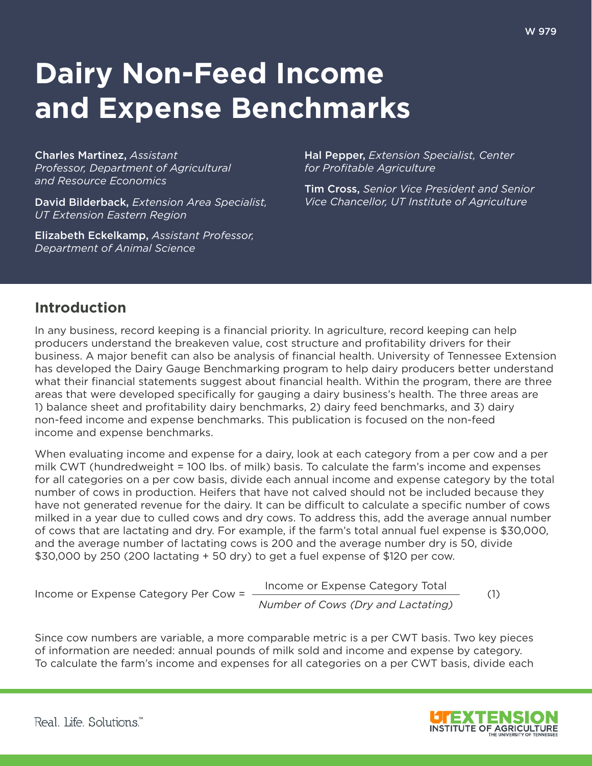# **Dairy Non-Feed Income and Expense Benchmarks**

Charles Martinez, *Assistant Professor, Department of Agricultural and Resource Economics*

David Bilderback, *Extension Area Specialist, UT Extension Eastern Region*

Elizabeth Eckelkamp, *Assistant Professor, Department of Animal Science*

Hal Pepper, *Extension Specialist, Center for Profitable Agriculture*

Tim Cross, *Senior Vice President and Senior Vice Chancellor, UT Institute of Agriculture*

## **Introduction**

In any business, record keeping is a financial priority. In agriculture, record keeping can help producers understand the breakeven value, cost structure and profitability drivers for their business. A major benefit can also be analysis of financial health. University of Tennessee Extension has developed the Dairy Gauge Benchmarking program to help dairy producers better understand what their financial statements suggest about financial health. Within the program, there are three areas that were developed specifically for gauging a dairy business's health. The three areas are 1) balance sheet and profitability dairy benchmarks, 2) dairy feed benchmarks, and 3) dairy non-feed income and expense benchmarks. This publication is focused on the non-feed income and expense benchmarks.

When evaluating income and expense for a dairy, look at each category from a per cow and a per milk CWT (hundredweight = 100 lbs. of milk) basis. To calculate the farm's income and expenses for all categories on a per cow basis, divide each annual income and expense category by the total number of cows in production. Heifers that have not calved should not be included because they have not generated revenue for the dairy. It can be difficult to calculate a specific number of cows milked in a year due to culled cows and dry cows. To address this, add the average annual number of cows that are lactating and dry. For example, if the farm's total annual fuel expense is \$30,000, and the average number of lactating cows is 200 and the average number dry is 50, divide \$30,000 by 250 (200 lactating + 50 dry) to get a fuel expense of \$120 per cow.

Income or Expense Category Per Cow =

*Number of Cows (Dry and Lactating)* Income or Expense Category Total (1)

Since cow numbers are variable, a more comparable metric is a per CWT basis. Two key pieces of information are needed: annual pounds of milk sold and income and expense by category. To calculate the farm's income and expenses for all categories on a per CWT basis, divide each

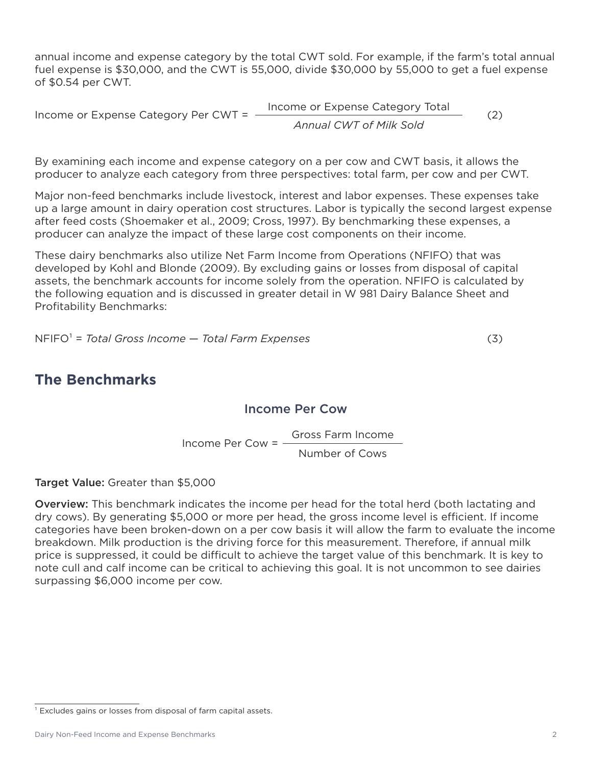annual income and expense category by the total CWT sold. For example, if the farm's total annual fuel expense is \$30,000, and the CWT is 55,000, divide \$30,000 by 55,000 to get a fuel expense of \$0.54 per CWT.

Income or Expense Category Per CWT = *Annual CWT of Milk Sold* Income or Expense Category Total (2)

By examining each income and expense category on a per cow and CWT basis, it allows the producer to analyze each category from three perspectives: total farm, per cow and per CWT.

Major non-feed benchmarks include livestock, interest and labor expenses. These expenses take up a large amount in dairy operation cost structures. Labor is typically the second largest expense after feed costs (Shoemaker et al., 2009; Cross, 1997). By benchmarking these expenses, a producer can analyze the impact of these large cost components on their income.

These dairy benchmarks also utilize Net Farm Income from Operations (NFIFO) that was developed by Kohl and Blonde (2009). By excluding gains or losses from disposal of capital assets, the benchmark accounts for income solely from the operation. NFIFO is calculated by the following equation and is discussed in greater detail in W 981 Dairy Balance Sheet and Profitability Benchmarks:

NFIFO¹ = *Total Gross Income* — *Total Farm Expenses* (3)

# **The Benchmarks**

### Income Per Cow

Income Per Cow = Number of Cows Gross Farm Income

Target Value: Greater than \$5,000

Overview: This benchmark indicates the income per head for the total herd (both lactating and dry cows). By generating \$5,000 or more per head, the gross income level is efficient. If income categories have been broken-down on a per cow basis it will allow the farm to evaluate the income breakdown. Milk production is the driving force for this measurement. Therefore, if annual milk price is suppressed, it could be difficult to achieve the target value of this benchmark. It is key to note cull and calf income can be critical to achieving this goal. It is not uncommon to see dairies surpassing \$6,000 income per cow.

 $1$  Excludes gains or losses from disposal of farm capital assets.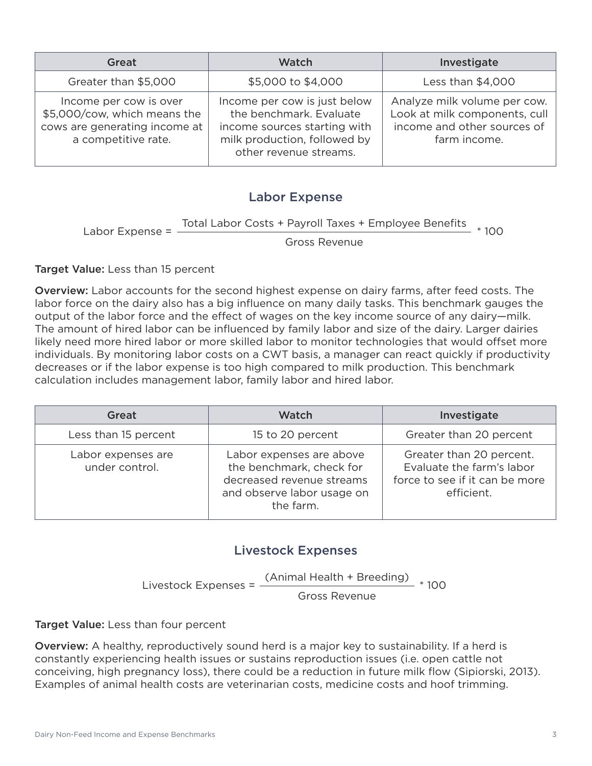| Great                                                                                                          | <b>Watch</b>                                                                                                                                      | Investigate                                                                                                  |
|----------------------------------------------------------------------------------------------------------------|---------------------------------------------------------------------------------------------------------------------------------------------------|--------------------------------------------------------------------------------------------------------------|
| Greater than \$5,000                                                                                           | \$5,000 to \$4,000                                                                                                                                | Less than \$4,000                                                                                            |
| Income per cow is over<br>\$5,000/cow, which means the<br>cows are generating income at<br>a competitive rate. | Income per cow is just below<br>the benchmark. Evaluate<br>income sources starting with<br>milk production, followed by<br>other revenue streams. | Analyze milk volume per cow.<br>Look at milk components, cull<br>income and other sources of<br>farm income. |

#### Labor Expense

Labor Expense = Total Labor Costs + Payroll Taxes + Employee Benefits \* 100

Gross Revenue

#### Target Value: Less than 15 percent

**Overview:** Labor accounts for the second highest expense on dairy farms, after feed costs. The labor force on the dairy also has a big influence on many daily tasks. This benchmark gauges the output of the labor force and the effect of wages on the key income source of any dairy—milk. The amount of hired labor can be influenced by family labor and size of the dairy. Larger dairies likely need more hired labor or more skilled labor to monitor technologies that would offset more individuals. By monitoring labor costs on a CWT basis, a manager can react quickly if productivity decreases or if the labor expense is too high compared to milk production. This benchmark calculation includes management labor, family labor and hired labor.

| Great                                | <b>Watch</b>                                                                                                                 | Investigate                                                                                           |
|--------------------------------------|------------------------------------------------------------------------------------------------------------------------------|-------------------------------------------------------------------------------------------------------|
| Less than 15 percent                 | 15 to 20 percent                                                                                                             | Greater than 20 percent                                                                               |
| Labor expenses are<br>under control. | Labor expenses are above<br>the benchmark, check for<br>decreased revenue streams<br>and observe labor usage on<br>the farm. | Greater than 20 percent.<br>Evaluate the farm's labor<br>force to see if it can be more<br>efficient. |

#### Livestock Expenses

Livestock Expenses = (Animal Health + Breeding) \* 100 Gross Revenue

Target Value: Less than four percent

Overview: A healthy, reproductively sound herd is a major key to sustainability. If a herd is constantly experiencing health issues or sustains reproduction issues (i.e. open cattle not conceiving, high pregnancy loss), there could be a reduction in future milk flow (Sipiorski, 2013). Examples of animal health costs are veterinarian costs, medicine costs and hoof trimming.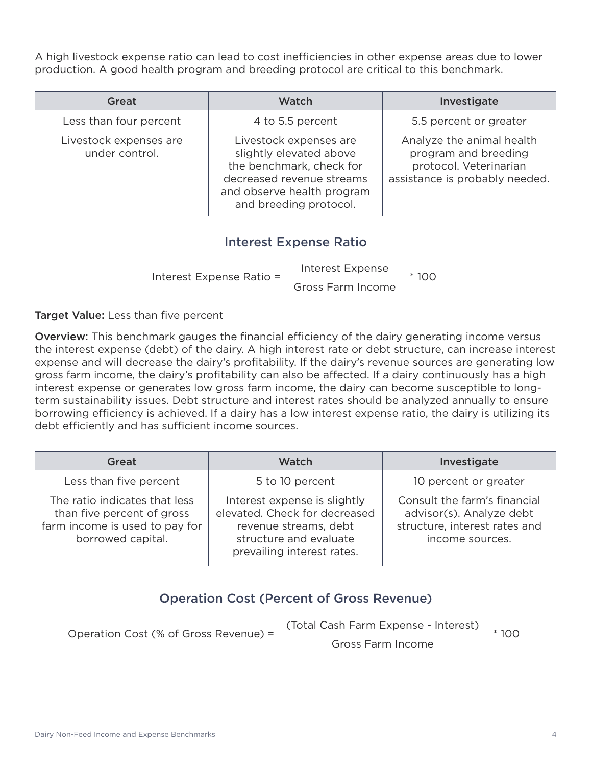A high livestock expense ratio can lead to cost inefficiencies in other expense areas due to lower production. A good health program and breeding protocol are critical to this benchmark.

| Great                                    | Watch                                                                                                                                                              | Investigate                                                                                                   |
|------------------------------------------|--------------------------------------------------------------------------------------------------------------------------------------------------------------------|---------------------------------------------------------------------------------------------------------------|
| Less than four percent                   | 4 to 5.5 percent                                                                                                                                                   | 5.5 percent or greater                                                                                        |
| Livestock expenses are<br>under control. | Livestock expenses are<br>slightly elevated above<br>the benchmark, check for<br>decreased revenue streams<br>and observe health program<br>and breeding protocol. | Analyze the animal health<br>program and breeding<br>protocol. Veterinarian<br>assistance is probably needed. |

## Interest Expense Ratio

Interest Expense Ratio = Gross Farm Income Interest Expense \* 100

Target Value: Less than five percent

Overview: This benchmark gauges the financial efficiency of the dairy generating income versus the interest expense (debt) of the dairy. A high interest rate or debt structure, can increase interest expense and will decrease the dairy's profitability. If the dairy's revenue sources are generating low gross farm income, the dairy's profitability can also be affected. If a dairy continuously has a high interest expense or generates low gross farm income, the dairy can become susceptible to longterm sustainability issues. Debt structure and interest rates should be analyzed annually to ensure borrowing efficiency is achieved. If a dairy has a low interest expense ratio, the dairy is utilizing its debt efficiently and has sufficient income sources.

| Great                                                                                                              | <b>Watch</b>                                                                                                                                   | Investigate                                                                                                  |
|--------------------------------------------------------------------------------------------------------------------|------------------------------------------------------------------------------------------------------------------------------------------------|--------------------------------------------------------------------------------------------------------------|
| Less than five percent                                                                                             | 5 to 10 percent                                                                                                                                | 10 percent or greater                                                                                        |
| The ratio indicates that less<br>than five percent of gross<br>farm income is used to pay for<br>borrowed capital. | Interest expense is slightly<br>elevated. Check for decreased<br>revenue streams, debt<br>structure and evaluate<br>prevailing interest rates. | Consult the farm's financial<br>advisor(s). Analyze debt<br>structure, interest rates and<br>income sources. |

## Operation Cost (Percent of Gross Revenue)

Operation Cost (% of Gross Revenue) = Gross Farm Income (Total Cash Farm Expense - Interest) \* 100

Dairy Non-Feed Income and Expense Benchmarks 4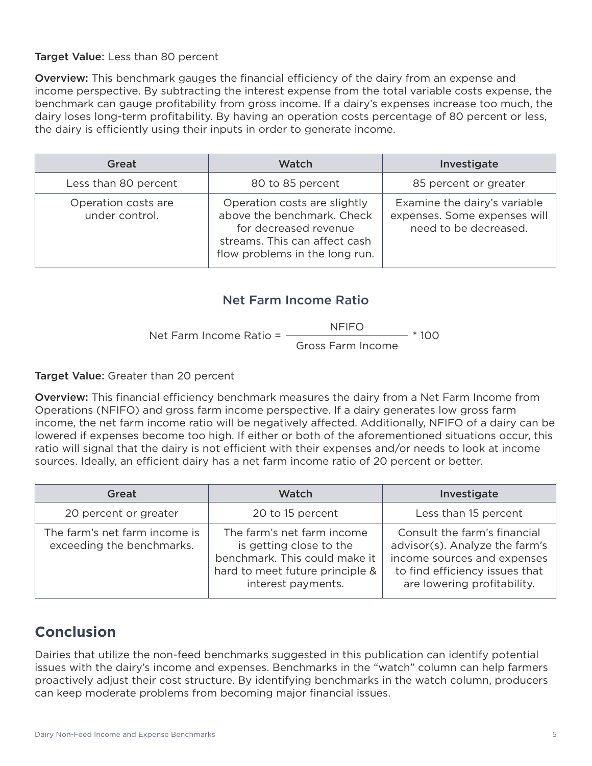#### Target Value: Less than 80 percent

Overview: This benchmark gauges the financial efficiency of the dairy from an expense and income perspective. By subtracting the interest expense from the total variable costs expense, the benchmark can gauge profitability from gross income. If a dairy's expenses increase too much, the dairy loses long-term profitability. By having an operation costs percentage of 80 percent or less, the dairy is efficiently using their inputs in order to generate income.

| Great                                 | Watch                                                                                                                                                  | Investigate                                                                           |
|---------------------------------------|--------------------------------------------------------------------------------------------------------------------------------------------------------|---------------------------------------------------------------------------------------|
| Less than 80 percent                  | 80 to 85 percent                                                                                                                                       | 85 percent or greater                                                                 |
| Operation costs are<br>under control. | Operation costs are slightly<br>above the benchmark. Check<br>for decreased revenue<br>streams. This can affect cash<br>flow problems in the long run. | Examine the dairy's variable<br>expenses. Some expenses will<br>need to be decreased. |

#### Net Farm Income Ratio

Net Farm Income Ratio = -Gross Farm Income NFIFO  $- * 100$ 

Target Value: Greater than 20 percent

Overview: This financial efficiency benchmark measures the dairy from a Net Farm Income from Operations (NFIFO) and gross farm income perspective. If a dairy generates low gross farm income, the net farm income ratio will be negatively affected. Additionally, NFIFO of a dairy can be lowered if expenses become too high. If either or both of the aforementioned situations occur, this ratio will signal that the dairy is not efficient with their expenses and/or needs to look at income sources. Ideally, an efficient dairy has a net farm income ratio of 20 percent or better.

| Great                                                      | Watch                                                                                                                                           | Investigate                                                                                                                                                    |
|------------------------------------------------------------|-------------------------------------------------------------------------------------------------------------------------------------------------|----------------------------------------------------------------------------------------------------------------------------------------------------------------|
| 20 percent or greater                                      | 20 to 15 percent                                                                                                                                | Less than 15 percent                                                                                                                                           |
| The farm's net farm income is<br>exceeding the benchmarks. | The farm's net farm income<br>is getting close to the<br>benchmark. This could make it<br>hard to meet future principle &<br>interest payments. | Consult the farm's financial<br>advisor(s). Analyze the farm's<br>income sources and expenses<br>to find efficiency issues that<br>are lowering profitability. |

# **Conclusion**

Dairies that utilize the non-feed benchmarks suggested in this publication can identify potential issues with the dairy's income and expenses. Benchmarks in the "watch" column can help farmers proactively adjust their cost structure. By identifying benchmarks in the watch column, producers can keep moderate problems from becoming major financial issues.